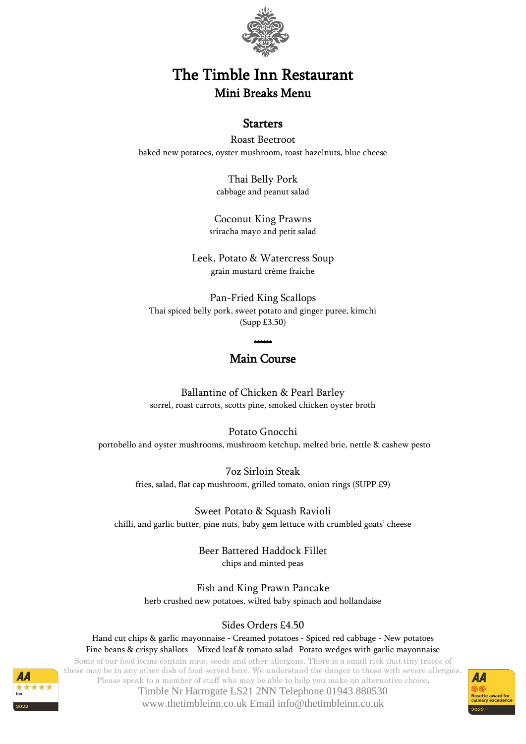

# The Timble Inn Restaurant Mini Breaks Menu

### **Starters**

Roast Beetroot baked new potatoes, oyster mushroom, roast hazelnuts, blue cheese

> Thai Belly Pork cabbage and peanut salad

Coconut King Prawns sriracha mayo and petit salad

Leek, Potato & Watercress Soup grain mustard crème fraiche

Pan-Fried King Scallops Thai spiced belly pork, sweet potato and ginger puree, kimchi (Supp £3.50)

\*\*\*\*\*\*

## Main Course

Ballantine of Chicken & Pearl Barley sorrel, roast carrots, scotts pine, smoked chicken oyster broth

Potato Gnocchi portobello and oyster mushrooms, mushroom ketchup, melted brie, nettle & cashew pesto

> 7oz Sirloin Steak fries, salad, flat cap mushroom, grilled tomato, onion rings (SUPP £9)

Sweet Potato & Squash Ravioli chilli, and garlic butter, pine nuts, baby gem lettuce with crumbled goats' cheese

> Beer Battered Haddock Fillet chips and minted peas

Fish and King Prawn Pancake herb crushed new potatoes, wilted baby spinach and hollandaise

#### Sides Orders £4.50

Some of our food items contain nuts, seeds and other allergens. There is a small risk that tiny traces of Hand cut chips & garlic mayonnaise - Creamed potatoes - Spiced red cabbage - New potatoes Fine beans & crispy shallots – Mixed leaf & tomato salad- Potato wedges with garlic mayonnaise

these may be in any other dish of food served here. We understand the danger to those with severe allergies. Please speak to a member of staff who may be able to help you make an alternative choice.

Timble Nr Harrogate LS21 2NN Telephone 01943 880530 www.thetimbleinn.co.uk Email info@thetimbleinn.co.uk